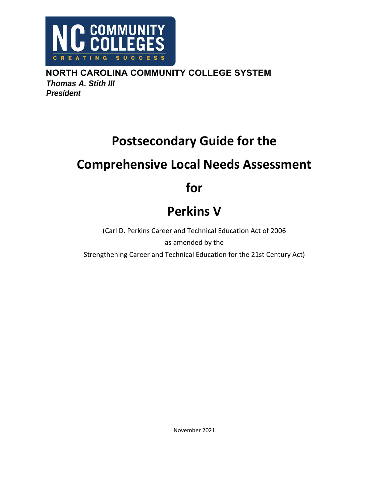

**NORTH CAROLINA COMMUNITY COLLEGE SYSTEM** *Thomas A. Stith III President*

# **Postsecondary Guide for the**

# **Comprehensive Local Needs Assessment**

# **for**

# **Perkins V**

(Carl D. Perkins Career and Technical Education Act of 2006 as amended by the Strengthening Career and Technical Education for the 21st Century Act)

November 2021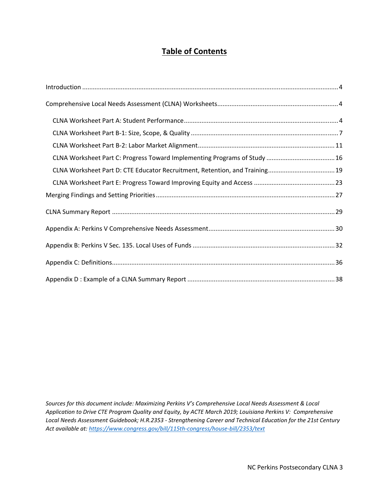# **Table of Contents**

*Sources for this document include: Maximizing Perkins V's Comprehensive Local Needs Assessment & Local Application to Drive CTE Program Quality and Equity, by ACTE March 2019; Louisiana Perkins V: Comprehensive Local Needs Assessment Guidebook; H.R.2353 ‐ Strengthening Career and Technical Education for the 21st Century Act available at: https://www.congress.gov/bill/115th‐congress/house‐bill/2353/text*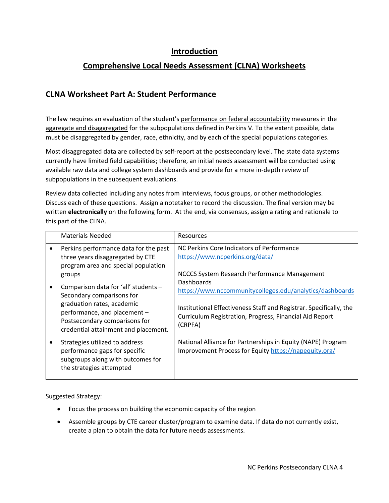#### **Introduction**

## **Comprehensive Local Needs Assessment (CLNA) Worksheets**

### **CLNA Worksheet Part A: Student Performance**

The law requires an evaluation of the student's performance on federal accountability measures in the aggregate and disaggregated for the subpopulations defined in Perkins V. To the extent possible, data must be disaggregated by gender, race, ethnicity, and by each of the special populations categories.

Most disaggregated data are collected by self‐report at the postsecondary level. The state data systems currently have limited field capabilities; therefore, an initial needs assessment will be conducted using available raw data and college system dashboards and provide for a more in‐depth review of subpopulations in the subsequent evaluations.

Review data collected including any notes from interviews, focus groups, or other methodologies. Discuss each of these questions. Assign a notetaker to record the discussion. The final version may be written **electronically** on the following form. At the end, via consensus, assign a rating and rationale to this part of the CLNA.

| <b>Materials Needed</b>                                                                                                                                                                                  | <b>Resources</b>                                                                                                                                                                                                   |
|----------------------------------------------------------------------------------------------------------------------------------------------------------------------------------------------------------|--------------------------------------------------------------------------------------------------------------------------------------------------------------------------------------------------------------------|
| Perkins performance data for the past<br>three years disaggregated by CTE<br>program area and special population<br>groups                                                                               | NC Perkins Core Indicators of Performance<br>https://www.ncperkins.org/data/<br>NCCCS System Research Performance Management                                                                                       |
| Comparison data for 'all' students -<br>Secondary comparisons for<br>graduation rates, academic<br>performance, and placement -<br>Postsecondary comparisons for<br>credential attainment and placement. | Dashboards<br>https://www.nccommunitycolleges.edu/analytics/dashboards<br>Institutional Effectiveness Staff and Registrar. Specifically, the<br>Curriculum Registration, Progress, Financial Aid Report<br>(CRPFA) |
| Strategies utilized to address<br>performance gaps for specific<br>subgroups along with outcomes for<br>the strategies attempted                                                                         | National Alliance for Partnerships in Equity (NAPE) Program<br>Improvement Process for Equity https://napequity.org/                                                                                               |

Suggested Strategy:

- Focus the process on building the economic capacity of the region
- Assemble groups by CTE career cluster/program to examine data. If data do not currently exist, create a plan to obtain the data for future needs assessments.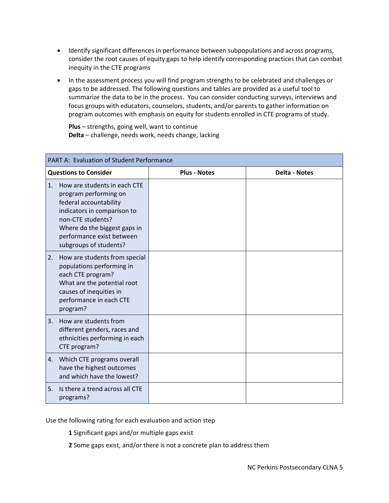- Identify significant differences in performance between subpopulations and across programs, consider the root causes of equity gaps to help identify corresponding practices that can combat inequity in the CTE programs
- In the assessment process you will find program strengths to be celebrated and challenges or gaps to be addressed. The following questions and tables are provided as a useful tool to summarize the data to be in the process. You can consider conducting surveys, interviews and focus groups with educators, counselors, students, and/or parents to gather information on program outcomes with emphasis on equity for students enrolled in CTE programs of study.

**Plus** – strengths, going well, want to continue **Delta** – challenge, needs work, needs change, lacking

| PART A: Evaluation of Student Performance                                                                                                                                                                                        |                     |                      |
|----------------------------------------------------------------------------------------------------------------------------------------------------------------------------------------------------------------------------------|---------------------|----------------------|
| <b>Questions to Consider</b>                                                                                                                                                                                                     | <b>Plus - Notes</b> | <b>Delta - Notes</b> |
| 1.<br>How are students in each CTE<br>program performing on<br>federal accountability<br>indicators in comparison to<br>non-CTE students?<br>Where do the biggest gaps in<br>performance exist between<br>subgroups of students? |                     |                      |
| 2.<br>How are students from special<br>populations performing in<br>each CTE program?<br>What are the potential root<br>causes of inequities in<br>performance in each CTE<br>program?                                           |                     |                      |
| 3.<br>How are students from<br>different genders, races and<br>ethnicities performing in each<br>CTE program?                                                                                                                    |                     |                      |
| Which CTE programs overall<br>4.<br>have the highest outcomes<br>and which have the lowest?                                                                                                                                      |                     |                      |
| 5.<br>Is there a trend across all CTE<br>programs?                                                                                                                                                                               |                     |                      |

Use the following rating for each evaluation and action step

**1** Significant gaps and/or multiple gaps exist

**2** Some gaps exist, and/or there is not a concrete plan to address them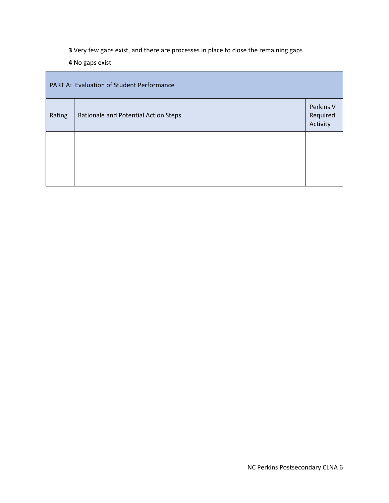**3** Very few gaps exist, and there are processes in place to close the remaining gaps

**4** No gaps exist

| PART A: Evaluation of Student Performance |                                      |                                   |  |
|-------------------------------------------|--------------------------------------|-----------------------------------|--|
| Rating                                    | Rationale and Potential Action Steps | Perkins V<br>Required<br>Activity |  |
|                                           |                                      |                                   |  |
|                                           |                                      |                                   |  |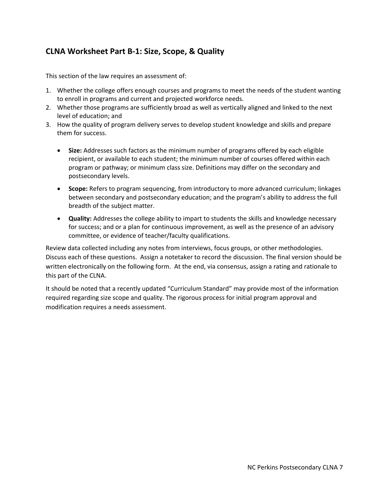# **CLNA Worksheet Part B‐1: Size, Scope, & Quality**

This section of the law requires an assessment of:

- 1. Whether the college offers enough courses and programs to meet the needs of the student wanting to enroll in programs and current and projected workforce needs.
- 2. Whether those programs are sufficiently broad as well as vertically aligned and linked to the next level of education; and
- 3. How the quality of program delivery serves to develop student knowledge and skills and prepare them for success.
	- **Size:** Addresses such factors as the minimum number of programs offered by each eligible recipient, or available to each student; the minimum number of courses offered within each program or pathway; or minimum class size. Definitions may differ on the secondary and postsecondary levels.
	- **Scope:** Refers to program sequencing, from introductory to more advanced curriculum; linkages between secondary and postsecondary education; and the program's ability to address the full breadth of the subject matter.
	- **Quality:** Addresses the college ability to impart to students the skills and knowledge necessary for success; and or a plan for continuous improvement, as well as the presence of an advisory committee, or evidence of teacher/faculty qualifications.

Review data collected including any notes from interviews, focus groups, or other methodologies. Discuss each of these questions. Assign a notetaker to record the discussion. The final version should be written electronically on the following form. At the end, via consensus, assign a rating and rationale to this part of the CLNA.

It should be noted that a recently updated "Curriculum Standard" may provide most of the information required regarding size scope and quality. The rigorous process for initial program approval and modification requires a needs assessment.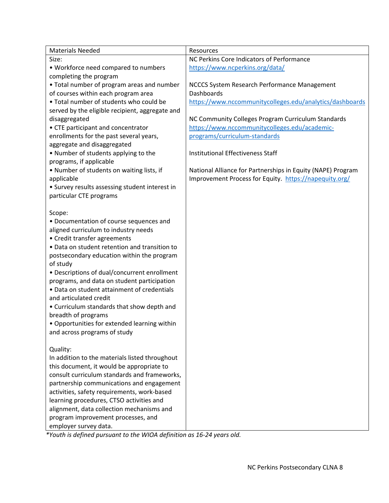| <b>Materials Needed</b>                         | Resources                                                   |
|-------------------------------------------------|-------------------------------------------------------------|
| Size:                                           | NC Perkins Core Indicators of Performance                   |
| • Workforce need compared to numbers            | https://www.ncperkins.org/data/                             |
| completing the program                          |                                                             |
| • Total number of program areas and number      | NCCCS System Research Performance Management                |
| of courses within each program area             | Dashboards                                                  |
| . Total number of students who could be         | https://www.nccommunitycolleges.edu/analytics/dashboards    |
| served by the eligible recipient, aggregate and |                                                             |
| disaggregated                                   | NC Community Colleges Program Curriculum Standards          |
| • CTE participant and concentrator              | https://www.nccommunitycolleges.edu/academic-               |
| enrollments for the past several years,         | programs/curriculum-standards                               |
| aggregate and disaggregated                     |                                                             |
| • Number of students applying to the            | <b>Institutional Effectiveness Staff</b>                    |
| programs, if applicable                         |                                                             |
| • Number of students on waiting lists, if       | National Alliance for Partnerships in Equity (NAPE) Program |
| applicable                                      | Improvement Process for Equity. https://napequity.org/      |
| • Survey results assessing student interest in  |                                                             |
| particular CTE programs                         |                                                             |
|                                                 |                                                             |
| Scope:                                          |                                                             |
| • Documentation of course sequences and         |                                                             |
| aligned curriculum to industry needs            |                                                             |
| • Credit transfer agreements                    |                                                             |
| • Data on student retention and transition to   |                                                             |
| postsecondary education within the program      |                                                             |
| of study                                        |                                                             |
| • Descriptions of dual/concurrent enrollment    |                                                             |
| programs, and data on student participation     |                                                             |
| · Data on student attainment of credentials     |                                                             |
| and articulated credit                          |                                                             |
| • Curriculum standards that show depth and      |                                                             |
| breadth of programs                             |                                                             |
| • Opportunities for extended learning within    |                                                             |
| and across programs of study                    |                                                             |
|                                                 |                                                             |
| Quality:                                        |                                                             |
| In addition to the materials listed throughout  |                                                             |
| this document, it would be appropriate to       |                                                             |
| consult curriculum standards and frameworks,    |                                                             |
| partnership communications and engagement       |                                                             |
| activities, safety requirements, work-based     |                                                             |
| learning procedures, CTSO activities and        |                                                             |
| alignment, data collection mechanisms and       |                                                             |
| program improvement processes, and              |                                                             |
| employer survey data.                           |                                                             |

*\*Youth is defined pursuant to the WIOA definition as 16‐24 years old.*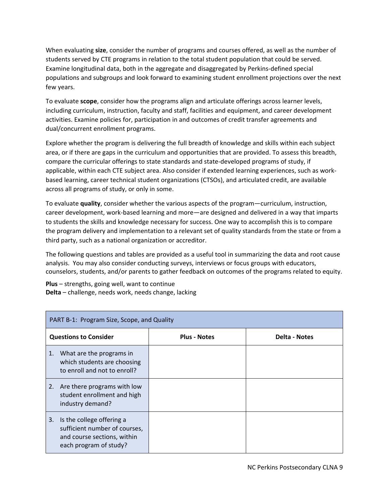When evaluating **size**, consider the number of programs and courses offered, as well as the number of students served by CTE programs in relation to the total student population that could be served. Examine longitudinal data, both in the aggregate and disaggregated by Perkins‐defined special populations and subgroups and look forward to examining student enrollment projections over the next few years.

To evaluate **scope**, consider how the programs align and articulate offerings across learner levels, including curriculum, instruction, faculty and staff, facilities and equipment, and career development activities. Examine policies for, participation in and outcomes of credit transfer agreements and dual/concurrent enrollment programs.

Explore whether the program is delivering the full breadth of knowledge and skills within each subject area, or if there are gaps in the curriculum and opportunities that are provided. To assess this breadth, compare the curricular offerings to state standards and state‐developed programs of study, if applicable, within each CTE subject area. Also consider if extended learning experiences, such as work‐ based learning, career technical student organizations (CTSOs), and articulated credit, are available across all programs of study, or only in some.

To evaluate **quality**, consider whether the various aspects of the program—curriculum, instruction, career development, work‐based learning and more—are designed and delivered in a way that imparts to students the skills and knowledge necessary for success. One way to accomplish this is to compare the program delivery and implementation to a relevant set of quality standards from the state or from a third party, such as a national organization or accreditor.

The following questions and tables are provided as a useful tool in summarizing the data and root cause analysis. You may also consider conducting surveys, interviews or focus groups with educators, counselors, students, and/or parents to gather feedback on outcomes of the programs related to equity.

**Plus** – strengths, going well, want to continue **Delta** – challenge, needs work, needs change, lacking

| PART B-1: Program Size, Scope, and Quality |                                                                                                                     |  |  |
|--------------------------------------------|---------------------------------------------------------------------------------------------------------------------|--|--|
|                                            | <b>Questions to Consider</b><br><b>Plus - Notes</b><br>Delta - Notes                                                |  |  |
| 1.                                         | What are the programs in<br>which students are choosing<br>to enroll and not to enroll?                             |  |  |
|                                            | 2. Are there programs with low<br>student enrollment and high<br>industry demand?                                   |  |  |
| 3.                                         | Is the college offering a<br>sufficient number of courses,<br>and course sections, within<br>each program of study? |  |  |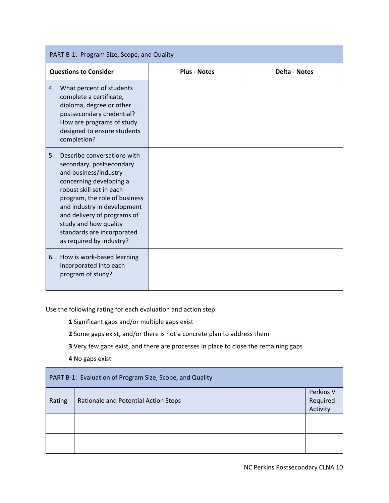| PART B-1: Program Size, Scope, and Quality                                                                                                                                                                                                                                                                                      |                                             |  |  |
|---------------------------------------------------------------------------------------------------------------------------------------------------------------------------------------------------------------------------------------------------------------------------------------------------------------------------------|---------------------------------------------|--|--|
| <b>Questions to Consider</b>                                                                                                                                                                                                                                                                                                    | <b>Plus - Notes</b><br><b>Delta - Notes</b> |  |  |
| What percent of students<br>4.<br>complete a certificate,<br>diploma, degree or other<br>postsecondary credential?<br>How are programs of study<br>designed to ensure students<br>completion?                                                                                                                                   |                                             |  |  |
| Describe conversations with<br>5.<br>secondary, postsecondary<br>and business/industry<br>concerning developing a<br>robust skill set in each<br>program, the role of business<br>and industry in development<br>and delivery of programs of<br>study and how quality<br>standards are incorporated<br>as required by industry? |                                             |  |  |
| How is work-based learning<br>6.<br>incorporated into each<br>program of study?                                                                                                                                                                                                                                                 |                                             |  |  |

Use the following rating for each evaluation and action step

**1** Significant gaps and/or multiple gaps exist

**2** Some gaps exist, and/or there is not a concrete plan to address them

**3** Very few gaps exist, and there are processes in place to close the remaining gaps

**4** No gaps exist

| PART B-1: Evaluation of Program Size, Scope, and Quality |                                      |                                   |
|----------------------------------------------------------|--------------------------------------|-----------------------------------|
| Rating                                                   | Rationale and Potential Action Steps | Perkins V<br>Required<br>Activity |
|                                                          |                                      |                                   |
|                                                          |                                      |                                   |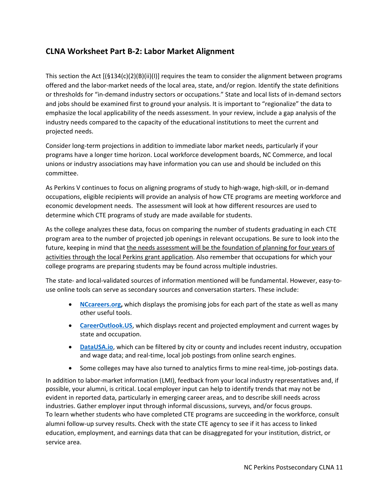### **CLNA Worksheet Part B‐2: Labor Market Alignment**

This section the Act  $[(\frac{5134(c)(2)(B)(ii)(I)}{G(1)(I)}]$  requires the team to consider the alignment between programs offered and the labor‐market needs of the local area, state, and/or region. Identify the state definitions or thresholds for "in‐demand industry sectors or occupations." State and local lists of in‐demand sectors and jobs should be examined first to ground your analysis. It is important to "regionalize" the data to emphasize the local applicability of the needs assessment. In your review, include a gap analysis of the industry needs compared to the capacity of the educational institutions to meet the current and projected needs.

Consider long‐term projections in addition to immediate labor market needs, particularly if your programs have a longer time horizon. Local workforce development boards, NC Commerce, and local unions or industry associations may have information you can use and should be included on this committee.

As Perkins V continues to focus on aligning programs of study to high‐wage, high‐skill, or in‐demand occupations, eligible recipients will provide an analysis of how CTE programs are meeting workforce and economic development needs. The assessment will look at how different resources are used to determine which CTE programs of study are made available for students.

As the college analyzes these data, focus on comparing the number of students graduating in each CTE program area to the number of projected job openings in relevant occupations. Be sure to look into the future, keeping in mind that the needs assessment will be the foundation of planning for four years of activities through the local Perkins grant application. Also remember that occupations for which your college programs are preparing students may be found across multiple industries.

The state- and local-validated sources of information mentioned will be fundamental. However, easy-touse online tools can serve as secondary sources and conversation starters. These include:

- **NCcareers.org, which displays the promising jobs for each part of the state as well as many** other useful tools.
- **CareerOutlook.US**, which displays recent and projected employment and current wages by state and occupation.
- **DataUSA.io**, which can be filtered by city or county and includes recent industry, occupation and wage data; and real-time, local job postings from online search engines.
- Some colleges may have also turned to analytics firms to mine real-time, job-postings data.

In addition to labor‐market information (LMI), feedback from your local industry representatives and, if possible, your alumni, is critical. Local employer input can help to identify trends that may not be evident in reported data, particularly in emerging career areas, and to describe skill needs across industries. Gather employer input through informal discussions, surveys, and/or focus groups. To learn whether students who have completed CTE programs are succeeding in the workforce, consult alumni follow-up survey results. Check with the state CTE agency to see if it has access to linked education, employment, and earnings data that can be disaggregated for your institution, district, or service area.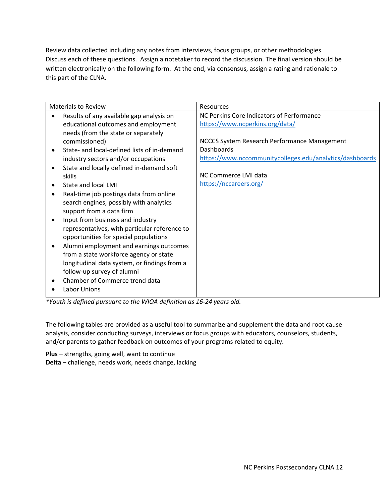Review data collected including any notes from interviews, focus groups, or other methodologies. Discuss each of these questions. Assign a notetaker to record the discussion. The final version should be written electronically on the following form. At the end, via consensus, assign a rating and rationale to this part of the CLNA.

| <b>Materials to Review</b>                                                                                                                                                                                                                                                                                                                                                                                                                                                                                                                                                           | Resources                                                                                                                                                                                                                                                       |
|--------------------------------------------------------------------------------------------------------------------------------------------------------------------------------------------------------------------------------------------------------------------------------------------------------------------------------------------------------------------------------------------------------------------------------------------------------------------------------------------------------------------------------------------------------------------------------------|-----------------------------------------------------------------------------------------------------------------------------------------------------------------------------------------------------------------------------------------------------------------|
| Results of any available gap analysis on<br>educational outcomes and employment<br>needs (from the state or separately<br>commissioned)<br>State- and local-defined lists of in-demand<br>industry sectors and/or occupations<br>State and locally defined in-demand soft<br>skills<br>State and local LMI<br>Real-time job postings data from online<br>$\bullet$<br>search engines, possibly with analytics<br>support from a data firm<br>Input from business and industry<br>$\bullet$<br>representatives, with particular reference to<br>opportunities for special populations | NC Perkins Core Indicators of Performance<br>https://www.ncperkins.org/data/<br>NCCCS System Research Performance Management<br><b>Dashboards</b><br>https://www.nccommunitycolleges.edu/analytics/dashboards<br>NC Commerce LMI data<br>https://nccareers.org/ |
| Alumni employment and earnings outcomes<br>٠<br>from a state workforce agency or state<br>longitudinal data system, or findings from a<br>follow-up survey of alumni<br>Chamber of Commerce trend data<br>Labor Unions                                                                                                                                                                                                                                                                                                                                                               |                                                                                                                                                                                                                                                                 |

*\*Youth is defined pursuant to the WIOA definition as 16‐24 years old.* 

The following tables are provided as a useful tool to summarize and supplement the data and root cause analysis, consider conducting surveys, interviews or focus groups with educators, counselors, students, and/or parents to gather feedback on outcomes of your programs related to equity.

**Plus** – strengths, going well, want to continue **Delta** – challenge, needs work, needs change, lacking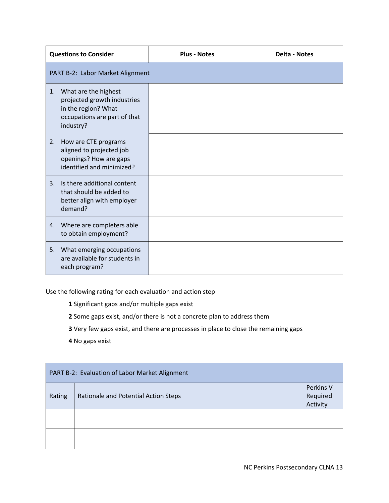| <b>Questions to Consider</b>                                                                                                  | <b>Plus - Notes</b> | <b>Delta - Notes</b> |
|-------------------------------------------------------------------------------------------------------------------------------|---------------------|----------------------|
| PART B-2: Labor Market Alignment                                                                                              |                     |                      |
| What are the highest<br>1.<br>projected growth industries<br>in the region? What<br>occupations are part of that<br>industry? |                     |                      |
| How are CTE programs<br>2.<br>aligned to projected job<br>openings? How are gaps<br>identified and minimized?                 |                     |                      |
| Is there additional content<br>3.<br>that should be added to<br>better align with employer<br>demand?                         |                     |                      |
| Where are completers able<br>4.<br>to obtain employment?                                                                      |                     |                      |
| What emerging occupations<br>5.<br>are available for students in<br>each program?                                             |                     |                      |

Use the following rating for each evaluation and action step

**1** Significant gaps and/or multiple gaps exist

**2** Some gaps exist, and/or there is not a concrete plan to address them

- **3** Very few gaps exist, and there are processes in place to close the remaining gaps
- **4** No gaps exist

| PART B-2: Evaluation of Labor Market Alignment |                                      |                                   |  |
|------------------------------------------------|--------------------------------------|-----------------------------------|--|
| Rating                                         | Rationale and Potential Action Steps | Perkins V<br>Required<br>Activity |  |
|                                                |                                      |                                   |  |
|                                                |                                      |                                   |  |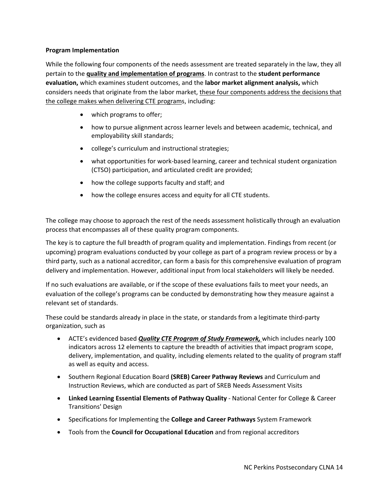#### **Program Implementation**

While the following four components of the needs assessment are treated separately in the law, they all pertain to the **quality and implementation of programs**. In contrast to the **student performance evaluation,** which examines student outcomes, and the **labor market alignment analysis,** which considers needs that originate from the labor market, these four components address the decisions that the college makes when delivering CTE programs, including:

- which programs to offer;
- how to pursue alignment across learner levels and between academic, technical, and employability skill standards;
- college's curriculum and instructional strategies;
- what opportunities for work‐based learning, career and technical student organization (CTSO) participation, and articulated credit are provided;
- how the college supports faculty and staff; and
- how the college ensures access and equity for all CTE students.

The college may choose to approach the rest of the needs assessment holistically through an evaluation process that encompasses all of these quality program components.

The key is to capture the full breadth of program quality and implementation. Findings from recent (or upcoming) program evaluations conducted by your college as part of a program review process or by a third party, such as a national accreditor, can form a basis for this comprehensive evaluation of program delivery and implementation. However, additional input from local stakeholders will likely be needed.

If no such evaluations are available, or if the scope of these evaluations fails to meet your needs, an evaluation of the college's programs can be conducted by demonstrating how they measure against a relevant set of standards.

These could be standards already in place in the state, or standards from a legitimate third‐party organization, such as

- ACTE's evidenced based *Quality CTE Program of Study Framework,* which includes nearly 100 indicators across 12 elements to capture the breadth of activities that impact program scope, delivery, implementation, and quality, including elements related to the quality of program staff as well as equity and access.
- Southern Regional Education Board **(SREB) Career Pathway Reviews** and Curriculum and Instruction Reviews, which are conducted as part of SREB Needs Assessment Visits
- **Linked Learning Essential Elements of Pathway Quality** ‐ National Center for College & Career Transitions' Design
- Specifications for Implementing the **College and Career Pathways** System Framework
- Tools from the **Council for Occupational Education** and from regional accreditors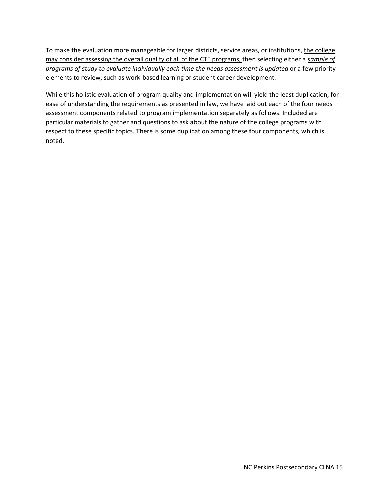To make the evaluation more manageable for larger districts, service areas, or institutions, the college may consider assessing the overall quality of all of the CTE programs, then selecting either a *sample of programs of study to evaluate individually each time the needs assessment is updated* or a few priority elements to review, such as work‐based learning or student career development.

While this holistic evaluation of program quality and implementation will yield the least duplication, for ease of understanding the requirements as presented in law, we have laid out each of the four needs assessment components related to program implementation separately as follows. Included are particular materials to gather and questions to ask about the nature of the college programs with respect to these specific topics. There is some duplication among these four components, which is noted.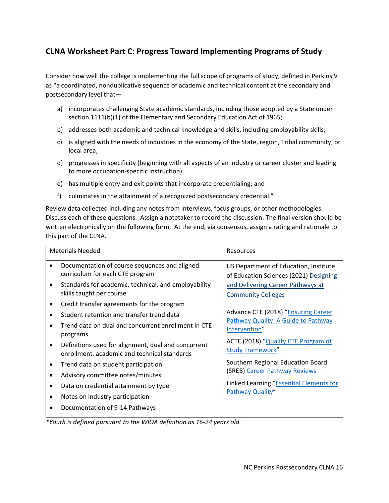## **CLNA Worksheet Part C: Progress Toward Implementing Programs of Study**

Consider how well the college is implementing the full scope of programs of study, defined in Perkins V as "a coordinated, nonduplicative sequence of academic and technical content at the secondary and postsecondary level that—

- a) incorporates challenging State academic standards, including those adopted by a State under section 1111(b)(1) of the Elementary and Secondary Education Act of 1965;
- b) addresses both academic and technical knowledge and skills, including employability skills;
- c) is aligned with the needs of industries in the economy of the State, region, Tribal community, or local area;
- d) progresses in specificity (beginning with all aspects of an industry or career cluster and leading to more occupation‐specific instruction);
- e) has multiple entry and exit points that incorporate credentialing; and
- f) culminates in the attainment of a recognized postsecondary credential."

Review data collected including any notes from interviews, focus groups, or other methodologies. Discuss each of these questions. Assign a notetaker to record the discussion. The final version should be written electronically on the following form. At the end, via consensus, assign a rating and rationale to this part of the CLNA.

|           | <b>Materials Needed</b>                                                                                                                                    | <b>Resources</b>                                                                                                                   |
|-----------|------------------------------------------------------------------------------------------------------------------------------------------------------------|------------------------------------------------------------------------------------------------------------------------------------|
|           | Documentation of course sequences and aligned<br>curriculum for each CTE program                                                                           | US Department of Education, Institute<br>of Education Sciences (2021) Designing                                                    |
|           | Standards for academic, technical, and employability<br>skills taught per course                                                                           | and Delivering Career Pathways at<br><b>Community Colleges</b>                                                                     |
|           | Credit transfer agreements for the program<br>Student retention and transfer trend data<br>Trend data on dual and concurrent enrollment in CTE<br>programs | Advance CTE (2018) "Ensuring Career<br>Pathway Quality: A Guide to Pathway<br>Intervention"<br>ACTE (2018) "Quality CTE Program of |
| $\bullet$ | Definitions used for alignment, dual and concurrent<br>enrollment, academic and technical standards                                                        | <b>Study Framework"</b>                                                                                                            |
|           | Trend data on student participation                                                                                                                        | Southern Regional Education Board<br>(SREB) Career Pathway Reviews                                                                 |
|           | Advisory committee notes/minutes                                                                                                                           | Linked Learning "Essential Elements for                                                                                            |
| ٠<br>٠    | Data on credential attainment by type<br>Notes on industry participation                                                                                   | Pathway Quality"                                                                                                                   |
|           | Documentation of 9-14 Pathways                                                                                                                             |                                                                                                                                    |

*\*Youth is defined pursuant to the WIOA definition as 16‐24 years old.*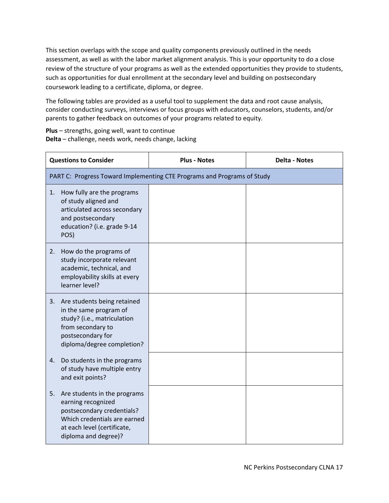This section overlaps with the scope and quality components previously outlined in the needs assessment, as well as with the labor market alignment analysis. This is your opportunity to do a close review of the structure of your programs as well as the extended opportunities they provide to students, such as opportunities for dual enrollment at the secondary level and building on postsecondary coursework leading to a certificate, diploma, or degree.

The following tables are provided as a useful tool to supplement the data and root cause analysis, consider conducting surveys, interviews or focus groups with educators, counselors, students, and/or parents to gather feedback on outcomes of your programs related to equity.

**Plus** – strengths, going well, want to continue **Delta** – challenge, needs work, needs change, lacking

| <b>Questions to Consider</b>                                                                                                                                                  | <b>Plus - Notes</b> | <b>Delta - Notes</b> |
|-------------------------------------------------------------------------------------------------------------------------------------------------------------------------------|---------------------|----------------------|
| PART C: Progress Toward Implementing CTE Programs and Programs of Study                                                                                                       |                     |                      |
| How fully are the programs<br>1.<br>of study aligned and<br>articulated across secondary<br>and postsecondary<br>education? (i.e. grade 9-14<br>POS)                          |                     |                      |
| How do the programs of<br>2.<br>study incorporate relevant<br>academic, technical, and<br>employability skills at every<br>learner level?                                     |                     |                      |
| Are students being retained<br>3.<br>in the same program of<br>study? (i.e., matriculation<br>from secondary to<br>postsecondary for<br>diploma/degree completion?            |                     |                      |
| Do students in the programs<br>4.<br>of study have multiple entry<br>and exit points?                                                                                         |                     |                      |
| Are students in the programs<br>5.<br>earning recognized<br>postsecondary credentials?<br>Which credentials are earned<br>at each level (certificate,<br>diploma and degree)? |                     |                      |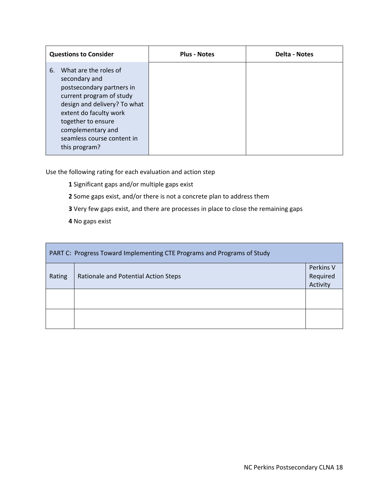|    | <b>Questions to Consider</b>                                                                                                                                                                                                                        | <b>Plus - Notes</b> | <b>Delta - Notes</b> |
|----|-----------------------------------------------------------------------------------------------------------------------------------------------------------------------------------------------------------------------------------------------------|---------------------|----------------------|
| 6. | What are the roles of<br>secondary and<br>postsecondary partners in<br>current program of study<br>design and delivery? To what<br>extent do faculty work<br>together to ensure<br>complementary and<br>seamless course content in<br>this program? |                     |                      |

Use the following rating for each evaluation and action step

- **1** Significant gaps and/or multiple gaps exist
- **2** Some gaps exist, and/or there is not a concrete plan to address them
- **3** Very few gaps exist, and there are processes in place to close the remaining gaps
- **4** No gaps exist

| PART C: Progress Toward Implementing CTE Programs and Programs of Study |                                                                           |  |
|-------------------------------------------------------------------------|---------------------------------------------------------------------------|--|
| Rating                                                                  | Perkins V<br>Required<br>Rationale and Potential Action Steps<br>Activity |  |
|                                                                         |                                                                           |  |
|                                                                         |                                                                           |  |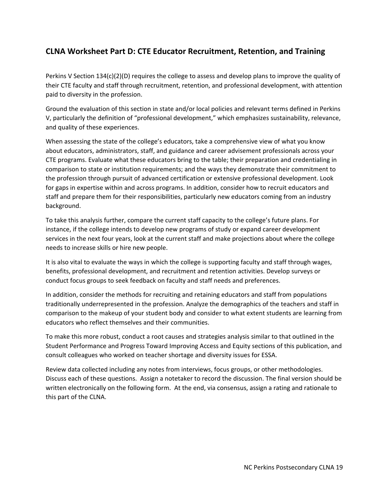### **CLNA Worksheet Part D: CTE Educator Recruitment, Retention, and Training**

Perkins V Section 134(c)(2)(D) requires the college to assess and develop plans to improve the quality of their CTE faculty and staff through recruitment, retention, and professional development, with attention paid to diversity in the profession.

Ground the evaluation of this section in state and/or local policies and relevant terms defined in Perkins V, particularly the definition of "professional development," which emphasizes sustainability, relevance, and quality of these experiences.

When assessing the state of the college's educators, take a comprehensive view of what you know about educators, administrators, staff, and guidance and career advisement professionals across your CTE programs. Evaluate what these educators bring to the table; their preparation and credentialing in comparison to state or institution requirements; and the ways they demonstrate their commitment to the profession through pursuit of advanced certification or extensive professional development. Look for gaps in expertise within and across programs. In addition, consider how to recruit educators and staff and prepare them for their responsibilities, particularly new educators coming from an industry background.

To take this analysis further, compare the current staff capacity to the college's future plans. For instance, if the college intends to develop new programs of study or expand career development services in the next four years, look at the current staff and make projections about where the college needs to increase skills or hire new people.

It is also vital to evaluate the ways in which the college is supporting faculty and staff through wages, benefits, professional development, and recruitment and retention activities. Develop surveys or conduct focus groups to seek feedback on faculty and staff needs and preferences.

In addition, consider the methods for recruiting and retaining educators and staff from populations traditionally underrepresented in the profession. Analyze the demographics of the teachers and staff in comparison to the makeup of your student body and consider to what extent students are learning from educators who reflect themselves and their communities.

To make this more robust, conduct a root causes and strategies analysis similar to that outlined in the Student Performance and Progress Toward Improving Access and Equity sections of this publication, and consult colleagues who worked on teacher shortage and diversity issues for ESSA.

Review data collected including any notes from interviews, focus groups, or other methodologies. Discuss each of these questions. Assign a notetaker to record the discussion. The final version should be written electronically on the following form. At the end, via consensus, assign a rating and rationale to this part of the CLNA.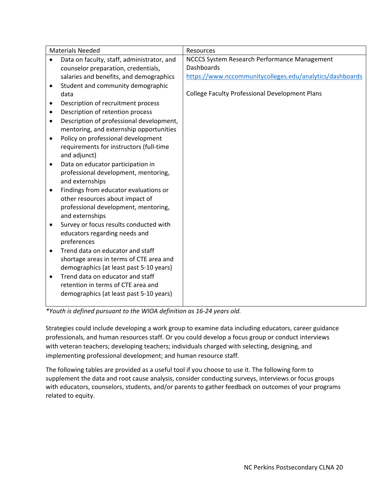|           | <b>Materials Needed</b>                                                            | Resources                                                |
|-----------|------------------------------------------------------------------------------------|----------------------------------------------------------|
|           | Data on faculty, staff, administrator, and                                         | NCCCS System Research Performance Management             |
|           | counselor preparation, credentials,                                                | Dashboards                                               |
|           | salaries and benefits, and demographics                                            | https://www.nccommunitycolleges.edu/analytics/dashboards |
| $\bullet$ | Student and community demographic                                                  |                                                          |
|           | data                                                                               | <b>College Faculty Professional Development Plans</b>    |
| ٠         | Description of recruitment process                                                 |                                                          |
| $\bullet$ | Description of retention process                                                   |                                                          |
| $\bullet$ | Description of professional development,                                           |                                                          |
|           | mentoring, and externship opportunities                                            |                                                          |
| $\bullet$ | Policy on professional development                                                 |                                                          |
|           | requirements for instructors (full-time                                            |                                                          |
|           | and adjunct)                                                                       |                                                          |
| $\bullet$ | Data on educator participation in                                                  |                                                          |
|           | professional development, mentoring,                                               |                                                          |
|           | and externships                                                                    |                                                          |
| $\bullet$ | Findings from educator evaluations or                                              |                                                          |
|           | other resources about impact of                                                    |                                                          |
|           | professional development, mentoring,                                               |                                                          |
|           | and externships                                                                    |                                                          |
| $\bullet$ | Survey or focus results conducted with                                             |                                                          |
|           | educators regarding needs and                                                      |                                                          |
|           | preferences<br>Trend data on educator and staff                                    |                                                          |
| $\bullet$ |                                                                                    |                                                          |
|           | shortage areas in terms of CTE area and<br>demographics (at least past 5-10 years) |                                                          |
|           | Trend data on educator and staff                                                   |                                                          |
| $\bullet$ | retention in terms of CTE area and                                                 |                                                          |
|           | demographics (at least past 5-10 years)                                            |                                                          |
|           |                                                                                    |                                                          |

*\*Youth is defined pursuant to the WIOA definition as 16‐24 years old.* 

Strategies could include developing a work group to examine data including educators, career guidance professionals, and human resources staff. Or you could develop a focus group or conduct interviews with veteran teachers; developing teachers; individuals charged with selecting, designing, and implementing professional development; and human resource staff.

The following tables are provided as a useful tool if you choose to use it. The following form to supplement the data and root cause analysis, consider conducting surveys, interviews or focus groups with educators, counselors, students, and/or parents to gather feedback on outcomes of your programs related to equity.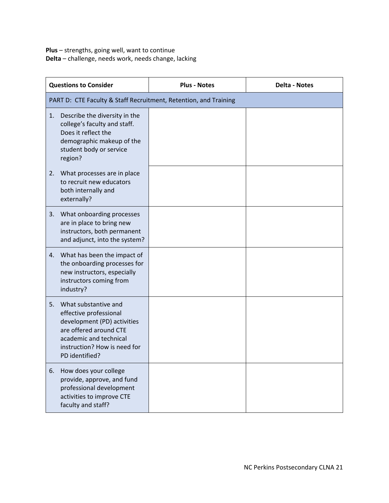**Plus** – strengths, going well, want to continue **Delta** – challenge, needs work, needs change, lacking

| <b>Questions to Consider</b>                                                                                                                                                              | <b>Plus - Notes</b> | <b>Delta - Notes</b> |
|-------------------------------------------------------------------------------------------------------------------------------------------------------------------------------------------|---------------------|----------------------|
| PART D: CTE Faculty & Staff Recruitment, Retention, and Training                                                                                                                          |                     |                      |
| Describe the diversity in the<br>1.<br>college's faculty and staff.<br>Does it reflect the<br>demographic makeup of the<br>student body or service<br>region?                             |                     |                      |
| What processes are in place<br>2.<br>to recruit new educators<br>both internally and<br>externally?                                                                                       |                     |                      |
| 3.<br>What onboarding processes<br>are in place to bring new<br>instructors, both permanent<br>and adjunct, into the system?                                                              |                     |                      |
| 4. What has been the impact of<br>the onboarding processes for<br>new instructors, especially<br>instructors coming from<br>industry?                                                     |                     |                      |
| 5.<br>What substantive and<br>effective professional<br>development (PD) activities<br>are offered around CTE<br>academic and technical<br>instruction? How is need for<br>PD identified? |                     |                      |
| 6.<br>How does your college<br>provide, approve, and fund<br>professional development<br>activities to improve CTE<br>faculty and staff?                                                  |                     |                      |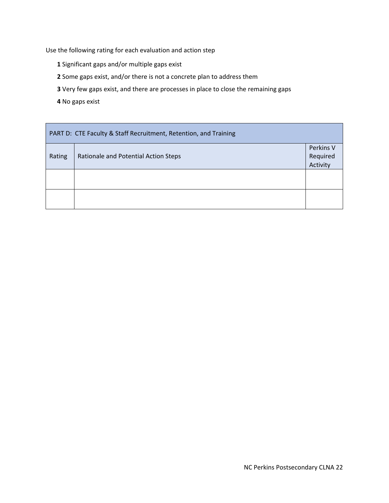Use the following rating for each evaluation and action step

- **1** Significant gaps and/or multiple gaps exist
- **2** Some gaps exist, and/or there is not a concrete plan to address them
- **3** Very few gaps exist, and there are processes in place to close the remaining gaps
- **4** No gaps exist

|        | PART D: CTE Faculty & Staff Recruitment, Retention, and Training          |  |  |
|--------|---------------------------------------------------------------------------|--|--|
| Rating | Perkins V<br>Required<br>Rationale and Potential Action Steps<br>Activity |  |  |
|        |                                                                           |  |  |
|        |                                                                           |  |  |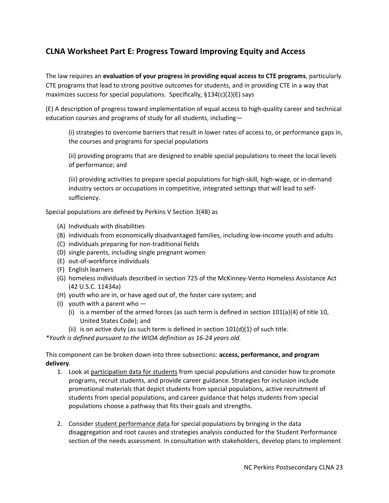# **CLNA Worksheet Part E: Progress Toward Improving Equity and Access**

The law requires an **evaluation of your progress in providing equal access to CTE programs**, particularly CTE programs that lead to strong positive outcomes for students, and in providing CTE in a way that maximizes success for special populations. Specifically, §134(c)(2)(E) says

(E) A description of progress toward implementation of equal access to high‐quality career and technical education courses and programs of study for all students, including—

(i) strategies to overcome barriers that result in lower rates of access to, or performance gaps in, the courses and programs for special populations

(ii) providing programs that are designed to enable special populations to meet the local levels of performance; and

(iii) providing activities to prepare special populations for high‐skill, high‐wage, or in‐demand industry sectors or occupations in competitive, integrated settings that will lead to self‐ sufficiency.

Special populations are defined by Perkins V Section 3(48) as

- (A) Individuals with disabilities
- (B) individuals from economically disadvantaged families, including low‐income youth and adults
- (C) individuals preparing for non‐traditional fields
- (D) single parents, including single pregnant women
- (E) out‐of‐workforce individuals
- (F) English learners
- (G) homeless individuals described in section 725 of the McKinney‐Vento Homeless Assistance Act (42 U.S.C. 11434a)
- (H) youth who are in, or have aged out of, the foster care system; and
- (I) youth with a parent who  $-$ 
	- (i) is a member of the armed forces (as such term is defined in section  $101(a)(4)$  of title 10, United States Code); and
	- (ii) is on active duty (as such term is defined in section  $101(d)(1)$  of such title.

*\*Youth is defined pursuant to the WIOA definition as 16‐24 years old.* 

This component can be broken down into three subsections: **access, performance, and program delivery**.

- 1. Look at participation data for students from special populations and consider how to promote programs, recruit students, and provide career guidance. Strategies for inclusion include promotional materials that depict students from special populations, active recruitment of students from special populations, and career guidance that helps students from special populations choose a pathway that fits their goals and strengths.
- 2. Consider student performance data for special populations by bringing in the data disaggregation and root causes and strategies analysis conducted for the Student Performance section of the needs assessment. In consultation with stakeholders, develop plans to implement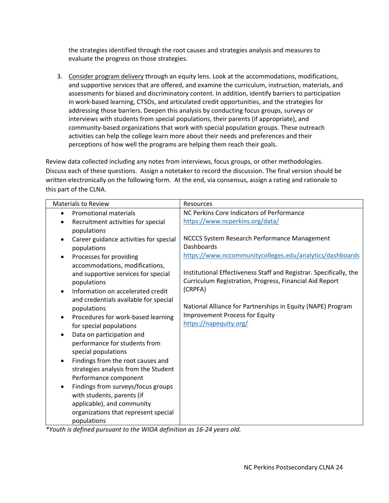the strategies identified through the root causes and strategies analysis and measures to evaluate the progress on those strategies.

3. Consider program delivery through an equity lens. Look at the accommodations, modifications, and supportive services that are offered, and examine the curriculum, instruction, materials, and assessments for biased and discriminatory content. In addition, identify barriers to participation in work‐based learning, CTSOs, and articulated credit opportunities, and the strategies for addressing those barriers. Deepen this analysis by conducting focus groups, surveys or interviews with students from special populations, their parents (if appropriate), and community-based organizations that work with special population groups. These outreach activities can help the college learn more about their needs and preferences and their perceptions of how well the programs are helping them reach their goals.

Review data collected including any notes from interviews, focus groups, or other methodologies. Discuss each of these questions. Assign a notetaker to record the discussion. The final version should be written electronically on the following form. At the end, via consensus, assign a rating and rationale to this part of the CLNA.

| <b>Materials to Review</b>                                                              | Resources                                                                                                                      |
|-----------------------------------------------------------------------------------------|--------------------------------------------------------------------------------------------------------------------------------|
| <b>Promotional materials</b><br>$\bullet$                                               | NC Perkins Core Indicators of Performance                                                                                      |
| Recruitment activities for special<br>$\bullet$<br>populations                          | https://www.ncperkins.org/data/                                                                                                |
| Career guidance activities for special<br>$\bullet$<br>populations                      | NCCCS System Research Performance Management<br><b>Dashboards</b>                                                              |
| Processes for providing<br>accommodations, modifications,                               | https://www.nccommunitycolleges.edu/analytics/dashboards                                                                       |
| and supportive services for special<br>populations                                      | Institutional Effectiveness Staff and Registrar. Specifically, the<br>Curriculum Registration, Progress, Financial Aid Report  |
| Information on accelerated credit<br>$\bullet$<br>and credentials available for special | (CRPFA)                                                                                                                        |
| populations<br>Procedures for work-based learning<br>$\bullet$                          | National Alliance for Partnerships in Equity (NAPE) Program<br><b>Improvement Process for Equity</b><br>https://napequity.org/ |
| for special populations<br>Data on participation and<br>$\bullet$                       |                                                                                                                                |
| performance for students from<br>special populations                                    |                                                                                                                                |
| Findings from the root causes and<br>$\bullet$<br>strategies analysis from the Student  |                                                                                                                                |
| Performance component                                                                   |                                                                                                                                |
| Findings from surveys/focus groups<br>with students, parents (if                        |                                                                                                                                |
| applicable), and community<br>organizations that represent special<br>populations       |                                                                                                                                |

*\*Youth is defined pursuant to the WIOA definition as 16‐24 years old.*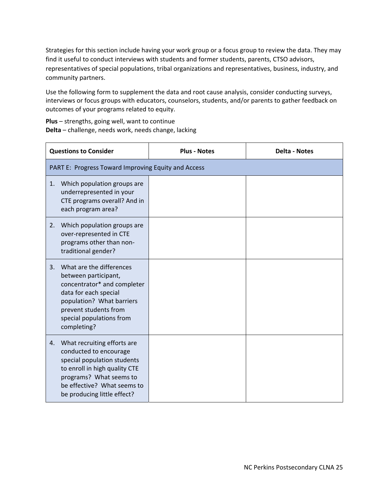Strategies for this section include having your work group or a focus group to review the data. They may find it useful to conduct interviews with students and former students, parents, CTSO advisors, representatives of special populations, tribal organizations and representatives, business, industry, and community partners.

Use the following form to supplement the data and root cause analysis, consider conducting surveys, interviews or focus groups with educators, counselors, students, and/or parents to gather feedback on outcomes of your programs related to equity.

**Plus** – strengths, going well, want to continue **Delta** – challenge, needs work, needs change, lacking

| <b>Questions to Consider</b>                                                                                                                                                                                         | <b>Plus - Notes</b> | <b>Delta - Notes</b> |
|----------------------------------------------------------------------------------------------------------------------------------------------------------------------------------------------------------------------|---------------------|----------------------|
| PART E: Progress Toward Improving Equity and Access                                                                                                                                                                  |                     |                      |
| Which population groups are<br>1.<br>underrepresented in your<br>CTE programs overall? And in<br>each program area?                                                                                                  |                     |                      |
| Which population groups are<br>2.<br>over-represented in CTE<br>programs other than non-<br>traditional gender?                                                                                                      |                     |                      |
| What are the differences<br>3.<br>between participant,<br>concentrator* and completer<br>data for each special<br>population? What barriers<br>prevent students from<br>special populations from<br>completing?      |                     |                      |
| What recruiting efforts are<br>4.<br>conducted to encourage<br>special population students<br>to enroll in high quality CTE<br>programs? What seems to<br>be effective? What seems to<br>be producing little effect? |                     |                      |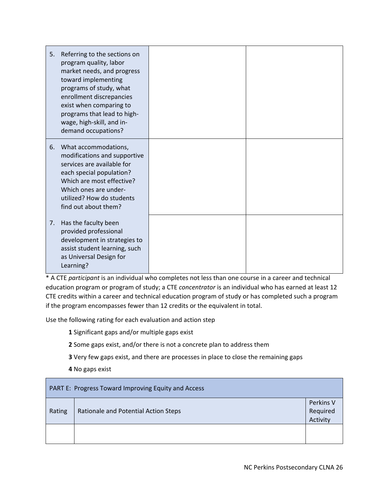| 5. | Referring to the sections on<br>program quality, labor<br>market needs, and progress<br>toward implementing<br>programs of study, what<br>enrollment discrepancies<br>exist when comparing to<br>programs that lead to high-<br>wage, high-skill, and in-<br>demand occupations? |  |
|----|----------------------------------------------------------------------------------------------------------------------------------------------------------------------------------------------------------------------------------------------------------------------------------|--|
| 6. | What accommodations,<br>modifications and supportive<br>services are available for<br>each special population?<br>Which are most effective?<br>Which ones are under-<br>utilized? How do students<br>find out about them?                                                        |  |
| 7. | Has the faculty been<br>provided professional<br>development in strategies to<br>assist student learning, such<br>as Universal Design for<br>Learning?                                                                                                                           |  |

\* A CTE *participant* is an individual who completes not less than one course in a career and technical education program or program of study; a CTE *concentrator* is an individual who has earned at least 12 CTE credits within a career and technical education program of study or has completed such a program if the program encompasses fewer than 12 credits or the equivalent in total.

Use the following rating for each evaluation and action step

**1** Significant gaps and/or multiple gaps exist

**2** Some gaps exist, and/or there is not a concrete plan to address them

**3** Very few gaps exist, and there are processes in place to close the remaining gaps

**4** No gaps exist

| <b>PART E: Progress Toward Improving Equity and Access</b> |                                      |                                   |
|------------------------------------------------------------|--------------------------------------|-----------------------------------|
| Rating                                                     | Rationale and Potential Action Steps | Perkins V<br>Required<br>Activity |
|                                                            |                                      |                                   |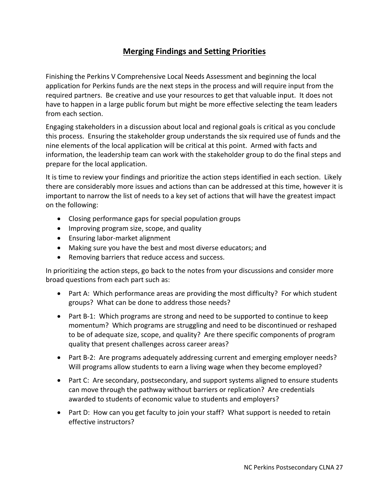# **Merging Findings and Setting Priorities**

Finishing the Perkins V Comprehensive Local Needs Assessment and beginning the local application for Perkins funds are the next steps in the process and will require input from the required partners. Be creative and use your resources to get that valuable input. It does not have to happen in a large public forum but might be more effective selecting the team leaders from each section.

Engaging stakeholders in a discussion about local and regional goals is critical as you conclude this process. Ensuring the stakeholder group understands the six required use of funds and the nine elements of the local application will be critical at this point. Armed with facts and information, the leadership team can work with the stakeholder group to do the final steps and prepare for the local application.

It is time to review your findings and prioritize the action steps identified in each section. Likely there are considerably more issues and actions than can be addressed at this time, however it is important to narrow the list of needs to a key set of actions that will have the greatest impact on the following:

- Closing performance gaps for special population groups
- Improving program size, scope, and quality
- Ensuring labor-market alignment
- Making sure you have the best and most diverse educators; and
- Removing barriers that reduce access and success.

In prioritizing the action steps, go back to the notes from your discussions and consider more broad questions from each part such as:

- Part A: Which performance areas are providing the most difficulty? For which student groups? What can be done to address those needs?
- Part B-1: Which programs are strong and need to be supported to continue to keep momentum? Which programs are struggling and need to be discontinued or reshaped to be of adequate size, scope, and quality? Are there specific components of program quality that present challenges across career areas?
- Part B-2: Are programs adequately addressing current and emerging employer needs? Will programs allow students to earn a living wage when they become employed?
- Part C: Are secondary, postsecondary, and support systems aligned to ensure students can move through the pathway without barriers or replication? Are credentials awarded to students of economic value to students and employers?
- Part D: How can you get faculty to join your staff? What support is needed to retain effective instructors?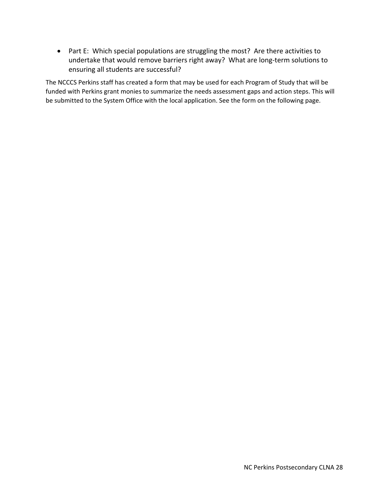Part E: Which special populations are struggling the most? Are there activities to undertake that would remove barriers right away? What are long-term solutions to ensuring all students are successful?

The NCCCS Perkins staff has created a form that may be used for each Program of Study that will be funded with Perkins grant monies to summarize the needs assessment gaps and action steps. This will be submitted to the System Office with the local application. See the form on the following page.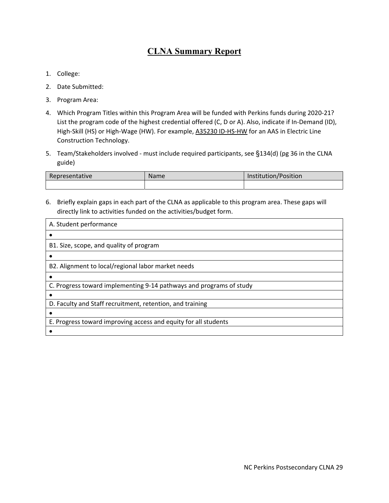# **CLNA Summary Report**

- 1. College:
- 2. Date Submitted:
- 3. Program Area:
- 4. Which Program Titles within this Program Area will be funded with Perkins funds during 2020‐21? List the program code of the highest credential offered (C, D or A). Also, indicate if In‐Demand (ID), High-Skill (HS) or High-Wage (HW). For example, A35230 ID-HS-HW for an AAS in Electric Line Construction Technology.
- 5. Team/Stakeholders involved ‐ must include required participants, see §134(d) (pg 36 in the CLNA guide)

| Representative | Name | Institution/Position |
|----------------|------|----------------------|
|                |      |                      |

6. Briefly explain gaps in each part of the CLNA as applicable to this program area. These gaps will directly link to activities funded on the activities/budget form.

| A. Student performance<br>B1. Size, scope, and quality of program<br>B2. Alignment to local/regional labor market needs<br>C. Progress toward implementing 9-14 pathways and programs of study<br>D. Faculty and Staff recruitment, retention, and training<br>E. Progress toward improving access and equity for all students |  |
|--------------------------------------------------------------------------------------------------------------------------------------------------------------------------------------------------------------------------------------------------------------------------------------------------------------------------------|--|
|                                                                                                                                                                                                                                                                                                                                |  |
|                                                                                                                                                                                                                                                                                                                                |  |
|                                                                                                                                                                                                                                                                                                                                |  |
|                                                                                                                                                                                                                                                                                                                                |  |
|                                                                                                                                                                                                                                                                                                                                |  |
|                                                                                                                                                                                                                                                                                                                                |  |
|                                                                                                                                                                                                                                                                                                                                |  |
|                                                                                                                                                                                                                                                                                                                                |  |
|                                                                                                                                                                                                                                                                                                                                |  |
|                                                                                                                                                                                                                                                                                                                                |  |
|                                                                                                                                                                                                                                                                                                                                |  |
|                                                                                                                                                                                                                                                                                                                                |  |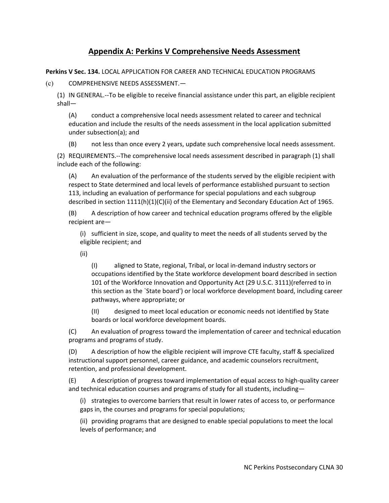### **Appendix A: Perkins V Comprehensive Needs Assessment**

**Perkins V Sec. 134.** LOCAL APPLICATION FOR CAREER AND TECHNICAL EDUCATION PROGRAMS

(c) COMPREHENSIVE NEEDS ASSESSMENT.—

(1) IN GENERAL.‐‐To be eligible to receive financial assistance under this part, an eligible recipient shall—

(A) conduct a comprehensive local needs assessment related to career and technical education and include the results of the needs assessment in the local application submitted under subsection(a); and

(B) not less than once every 2 years, update such comprehensive local needs assessment.

(2) REQUIREMENTS.‐‐The comprehensive local needs assessment described in paragraph (1) shall include each of the following:

(A) An evaluation of the performance of the students served by the eligible recipient with respect to State determined and local levels of performance established pursuant to section 113, including an evaluation of performance for special populations and each subgroup described in section 1111(h)(1)(C)(ii) of the Elementary and Secondary Education Act of 1965.

(B) A description of how career and technical education programs offered by the eligible recipient are—

(i) sufficient in size, scope, and quality to meet the needs of all students served by the eligible recipient; and

(ii)

(I) aligned to State, regional, Tribal, or local in‐demand industry sectors or occupations identified by the State workforce development board described in section 101 of the Workforce Innovation and Opportunity Act (29 U.S.C. 3111)(referred to in this section as the `State board') or local workforce development board, including career pathways, where appropriate; or

(II) designed to meet local education or economic needs not identified by State boards or local workforce development boards.

(C) An evaluation of progress toward the implementation of career and technical education programs and programs of study.

(D) A description of how the eligible recipient will improve CTE faculty, staff & specialized instructional support personnel, career guidance, and academic counselors recruitment, retention, and professional development.

(E) A description of progress toward implementation of equal access to high‐quality career and technical education courses and programs of study for all students, including—

(i) strategies to overcome barriers that result in lower rates of access to, or performance gaps in, the courses and programs for special populations;

(ii) providing programs that are designed to enable special populations to meet the local levels of performance; and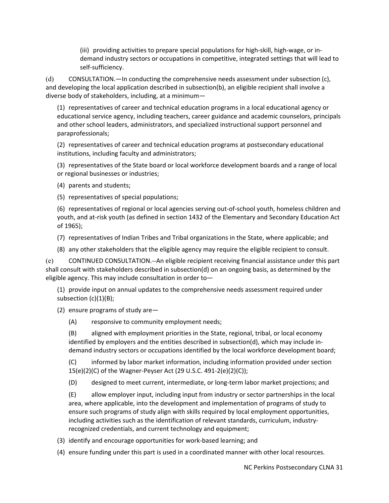(iii) providing activities to prepare special populations for high‐skill, high‐wage, or in‐ demand industry sectors or occupations in competitive, integrated settings that will lead to self‐sufficiency.

(d) CONSULTATION.—In conducting the comprehensive needs assessment under subsection (c), and developing the local application described in subsection(b), an eligible recipient shall involve a diverse body of stakeholders, including, at a minimum—

(1) representatives of career and technical education programs in a local educational agency or educational service agency, including teachers, career guidance and academic counselors, principals and other school leaders, administrators, and specialized instructional support personnel and paraprofessionals;

(2) representatives of career and technical education programs at postsecondary educational institutions, including faculty and administrators;

(3) representatives of the State board or local workforce development boards and a range of local or regional businesses or industries;

(4) parents and students;

(5) representatives of special populations;

(6) representatives of regional or local agencies serving out‐of‐school youth, homeless children and youth, and at‐risk youth (as defined in section 1432 of the Elementary and Secondary Education Act of 1965);

- (7) representatives of Indian Tribes and Tribal organizations in the State, where applicable; and
- (8) any other stakeholders that the eligible agency may require the eligible recipient to consult.

(e) CONTINUED CONSULTATION.‐‐An eligible recipient receiving financial assistance under this part shall consult with stakeholders described in subsection(d) on an ongoing basis, as determined by the eligible agency. This may include consultation in order to—

(1) provide input on annual updates to the comprehensive needs assessment required under subsection (c)(1)(B);

- (2) ensure programs of study are—
	- (A) responsive to community employment needs;

(B) aligned with employment priorities in the State, regional, tribal, or local economy identified by employers and the entities described in subsection(d), which may include in‐ demand industry sectors or occupations identified by the local workforce development board;

(C) informed by labor market information, including information provided under section 15(e)(2)(C) of the Wagner‐Peyser Act (29 U.S.C. 491‐2(e)(2)(C));

(D) designed to meet current, intermediate, or long‐term labor market projections; and

(E) allow employer input, including input from industry or sector partnerships in the local area, where applicable, into the development and implementation of programs of study to ensure such programs of study align with skills required by local employment opportunities, including activities such as the identification of relevant standards, curriculum, industry‐ recognized credentials, and current technology and equipment;

(3) identify and encourage opportunities for work‐based learning; and

(4) ensure funding under this part is used in a coordinated manner with other local resources.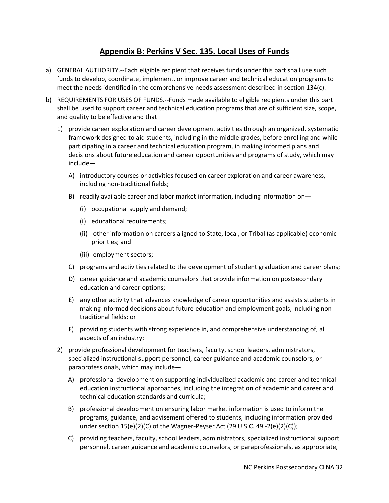### **Appendix B: Perkins V Sec. 135. Local Uses of Funds**

- a) GENERAL AUTHORITY.‐‐Each eligible recipient that receives funds under this part shall use such funds to develop, coordinate, implement, or improve career and technical education programs to meet the needs identified in the comprehensive needs assessment described in section 134(c).
- b) REQUIREMENTS FOR USES OF FUNDS.--Funds made available to eligible recipients under this part shall be used to support career and technical education programs that are of sufficient size, scope, and quality to be effective and that—
	- 1) provide career exploration and career development activities through an organized, systematic framework designed to aid students, including in the middle grades, before enrolling and while participating in a career and technical education program, in making informed plans and decisions about future education and career opportunities and programs of study, which may include—
		- A) introductory courses or activities focused on career exploration and career awareness, including non-traditional fields;
		- B) readily available career and labor market information, including information on—
			- (i) occupational supply and demand;
			- (i) educational requirements;
			- (ii) other information on careers aligned to State, local, or Tribal (as applicable) economic priorities; and
			- (iii) employment sectors;
		- C) programs and activities related to the development of student graduation and career plans;
		- D) career guidance and academic counselors that provide information on postsecondary education and career options;
		- E) any other activity that advances knowledge of career opportunities and assists students in making informed decisions about future education and employment goals, including non‐ traditional fields; or
		- F) providing students with strong experience in, and comprehensive understanding of, all aspects of an industry;
	- 2) provide professional development for teachers, faculty, school leaders, administrators, specialized instructional support personnel, career guidance and academic counselors, or paraprofessionals, which may include—
		- A) professional development on supporting individualized academic and career and technical education instructional approaches, including the integration of academic and career and technical education standards and curricula;
		- B) professional development on ensuring labor market information is used to inform the programs, guidance, and advisement offered to students, including information provided under section 15(e)(2)(C) of the Wagner-Peyser Act (29 U.S.C. 49I-2(e)(2)(C));
		- C) providing teachers, faculty, school leaders, administrators, specialized instructional support personnel, career guidance and academic counselors, or paraprofessionals, as appropriate,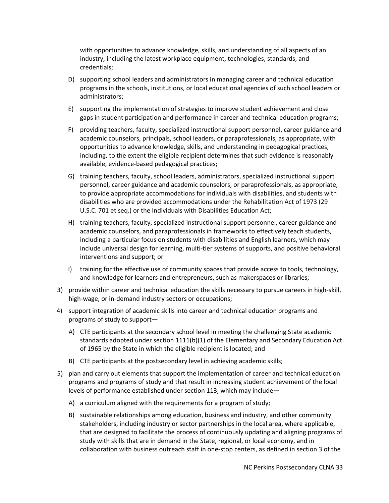with opportunities to advance knowledge, skills, and understanding of all aspects of an industry, including the latest workplace equipment, technologies, standards, and credentials;

- D) supporting school leaders and administrators in managing career and technical education programs in the schools, institutions, or local educational agencies of such school leaders or administrators;
- E) supporting the implementation of strategies to improve student achievement and close gaps in student participation and performance in career and technical education programs;
- F) providing teachers, faculty, specialized instructional support personnel, career guidance and academic counselors, principals, school leaders, or paraprofessionals, as appropriate, with opportunities to advance knowledge, skills, and understanding in pedagogical practices, including, to the extent the eligible recipient determines that such evidence is reasonably available, evidence‐based pedagogical practices;
- G) training teachers, faculty, school leaders, administrators, specialized instructional support personnel, career guidance and academic counselors, or paraprofessionals, as appropriate, to provide appropriate accommodations for individuals with disabilities, and students with disabilities who are provided accommodations under the Rehabilitation Act of 1973 (29 U.S.C. 701 et seq.) or the Individuals with Disabilities Education Act;
- H) training teachers, faculty, specialized instructional support personnel, career guidance and academic counselors, and paraprofessionals in frameworks to effectively teach students, including a particular focus on students with disabilities and English learners, which may include universal design for learning, multi-tier systems of supports, and positive behavioral interventions and support; or
- I) training for the effective use of community spaces that provide access to tools, technology, and knowledge for learners and entrepreneurs, such as makerspaces or libraries;
- 3) provide within career and technical education the skills necessary to pursue careers in high‐skill, high-wage, or in-demand industry sectors or occupations;
- 4) support integration of academic skills into career and technical education programs and programs of study to support—
	- A) CTE participants at the secondary school level in meeting the challenging State academic standards adopted under section 1111(b)(1) of the Elementary and Secondary Education Act of 1965 by the State in which the eligible recipient is located; and
	- B) CTE participants at the postsecondary level in achieving academic skills;
- 5) plan and carry out elements that support the implementation of career and technical education programs and programs of study and that result in increasing student achievement of the local levels of performance established under section 113, which may include—
	- A) a curriculum aligned with the requirements for a program of study;
	- B) sustainable relationships among education, business and industry, and other community stakeholders, including industry or sector partnerships in the local area, where applicable, that are designed to facilitate the process of continuously updating and aligning programs of study with skills that are in demand in the State, regional, or local economy, and in collaboration with business outreach staff in one‐stop centers, as defined in section 3 of the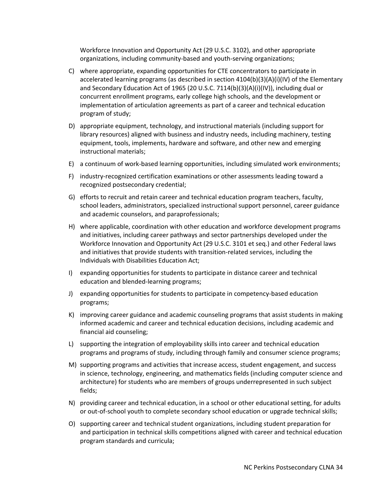Workforce Innovation and Opportunity Act (29 U.S.C. 3102), and other appropriate organizations, including community‐based and youth‐serving organizations;

- C) where appropriate, expanding opportunities for CTE concentrators to participate in accelerated learning programs (as described in section 4104(b)(3)(A)(i)(IV) of the Elementary and Secondary Education Act of 1965 (20 U.S.C. 7114(b)(3)(A)(i)(IV)), including dual or concurrent enrollment programs, early college high schools, and the development or implementation of articulation agreements as part of a career and technical education program of study;
- D) appropriate equipment, technology, and instructional materials (including support for library resources) aligned with business and industry needs, including machinery, testing equipment, tools, implements, hardware and software, and other new and emerging instructional materials;
- E) a continuum of work‐based learning opportunities, including simulated work environments;
- F) industry‐recognized certification examinations or other assessments leading toward a recognized postsecondary credential;
- G) efforts to recruit and retain career and technical education program teachers, faculty, school leaders, administrators, specialized instructional support personnel, career guidance and academic counselors, and paraprofessionals;
- H) where applicable, coordination with other education and workforce development programs and initiatives, including career pathways and sector partnerships developed under the Workforce Innovation and Opportunity Act (29 U.S.C. 3101 et seq.) and other Federal laws and initiatives that provide students with transition-related services, including the Individuals with Disabilities Education Act;
- I) expanding opportunities for students to participate in distance career and technical education and blended‐learning programs;
- J) expanding opportunities for students to participate in competency‐based education programs;
- K) improving career guidance and academic counseling programs that assist students in making informed academic and career and technical education decisions, including academic and financial aid counseling;
- L) supporting the integration of employability skills into career and technical education programs and programs of study, including through family and consumer science programs;
- M) supporting programs and activities that increase access, student engagement, and success in science, technology, engineering, and mathematics fields (including computer science and architecture) for students who are members of groups underrepresented in such subject fields;
- N) providing career and technical education, in a school or other educational setting, for adults or out‐of‐school youth to complete secondary school education or upgrade technical skills;
- O) supporting career and technical student organizations, including student preparation for and participation in technical skills competitions aligned with career and technical education program standards and curricula;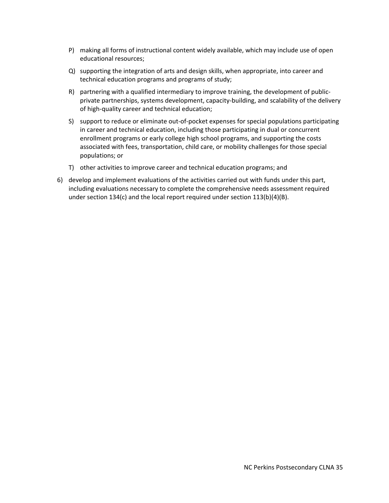- P) making all forms of instructional content widely available, which may include use of open educational resources;
- Q) supporting the integration of arts and design skills, when appropriate, into career and technical education programs and programs of study;
- R) partnering with a qualified intermediary to improve training, the development of publicprivate partnerships, systems development, capacity‐building, and scalability of the delivery of high‐quality career and technical education;
- S) support to reduce or eliminate out-of-pocket expenses for special populations participating in career and technical education, including those participating in dual or concurrent enrollment programs or early college high school programs, and supporting the costs associated with fees, transportation, child care, or mobility challenges for those special populations; or
- T) other activities to improve career and technical education programs; and
- 6) develop and implement evaluations of the activities carried out with funds under this part, including evaluations necessary to complete the comprehensive needs assessment required under section 134(c) and the local report required under section 113(b)(4)(B).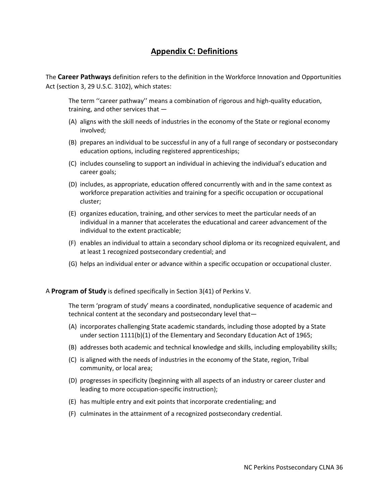#### **Appendix C: Definitions**

The **Career Pathways** definition refers to the definition in the Workforce Innovation and Opportunities Act (section 3, 29 U.S.C. 3102), which states:

The term ''career pathway'' means a combination of rigorous and high‐quality education, training, and other services that —

- (A) aligns with the skill needs of industries in the economy of the State or regional economy involved;
- (B) prepares an individual to be successful in any of a full range of secondary or postsecondary education options, including registered apprenticeships;
- (C) includes counseling to support an individual in achieving the individual's education and career goals;
- (D) includes, as appropriate, education offered concurrently with and in the same context as workforce preparation activities and training for a specific occupation or occupational cluster;
- (E) organizes education, training, and other services to meet the particular needs of an individual in a manner that accelerates the educational and career advancement of the individual to the extent practicable;
- (F) enables an individual to attain a secondary school diploma or its recognized equivalent, and at least 1 recognized postsecondary credential; and
- (G) helps an individual enter or advance within a specific occupation or occupational cluster.

A **Program of Study** is defined specifically in Section 3(41) of Perkins V.

The term 'program of study' means a coordinated, nonduplicative sequence of academic and technical content at the secondary and postsecondary level that—

- (A) incorporates challenging State academic standards, including those adopted by a State under section 1111(b)(1) of the Elementary and Secondary Education Act of 1965;
- (B) addresses both academic and technical knowledge and skills, including employability skills;
- (C) is aligned with the needs of industries in the economy of the State, region, Tribal community, or local area;
- (D) progresses in specificity (beginning with all aspects of an industry or career cluster and leading to more occupation‐specific instruction);
- (E) has multiple entry and exit points that incorporate credentialing; and
- (F) culminates in the attainment of a recognized postsecondary credential.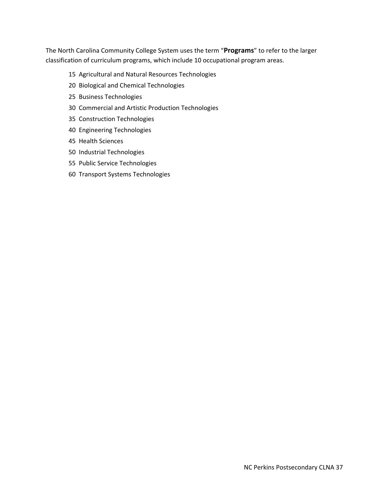The North Carolina Community College System uses the term "**Programs**" to refer to the larger classification of curriculum programs, which include 10 occupational program areas.

#### 15 Agricultural and Natural Resources Technologies

- 20 Biological and Chemical Technologies
- 25 Business Technologies
- 30 Commercial and Artistic Production Technologies
- 35 Construction Technologies
- 40 Engineering Technologies
- 45 Health Sciences
- 50 Industrial Technologies
- 55 Public Service Technologies
- 60 Transport Systems Technologies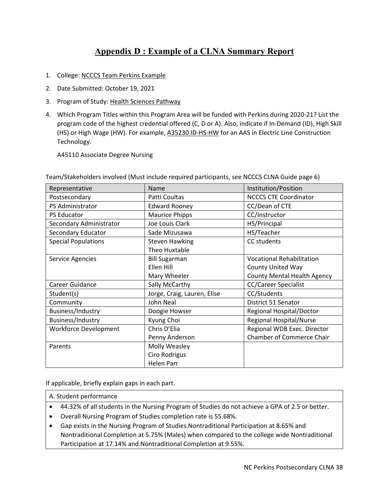# **Appendix D : Example of a CLNA Summary Report**

- 1. College: NCCCS Team Perkins Example
- 2. Date Submitted: October 19, 2021
- 3. Program of Study: Health Sciences Pathway
- 4. Which Program Titles within this Program Area will be funded with Perkins during 2020‐21? List the program code of the highest credential offered (C, D or A). Also, indicate if In‐Demand (ID), High Skill (HS) or High Wage (HW). For example, A35230 ID-HS-HW for an AAS in Electric Line Construction Technology.

A45110 Associate Degree Nursing

| Representative               | Name                        | Institution/Position               |
|------------------------------|-----------------------------|------------------------------------|
| Postsecondary                | Patti Coultas               | <b>NCCCS CTE Coordinator</b>       |
| PS Administrator             | <b>Edward Rooney</b>        | CC/Dean of CTE                     |
| PS Educator                  | <b>Maurice Phipps</b>       | CC/Instructor                      |
| Secondary Administrator      | Joe Louis Clark             | HS/Principal                       |
| Secondary Educator           | Sade Mizusawa               | HS/Teacher                         |
| <b>Special Populations</b>   | <b>Steven Hawking</b>       | CC students                        |
|                              | Theo Huxtable               |                                    |
| Service Agencies             | <b>Bill Sugarman</b>        | <b>Vocational Rehabilitation</b>   |
|                              | Ellen Hill                  | <b>County United Way</b>           |
|                              | Mary Wheeler                | <b>County Mental Health Agency</b> |
| Career Guidance              | Sally McCarthy              | <b>CC/Career Specialist</b>        |
| Student(s)                   | Jorge, Craig, Lauren, Elise | CC/Students                        |
| Community                    | John Neal                   | District 51 Senator                |
| Business/Industry            | Doogie Howser               | Regional Hospital/Doctor           |
| Business/Industry            | Kyung Choi                  | <b>Regional Hospital/Nurse</b>     |
| <b>Workforce Development</b> | Chris D'Elia                | Regional WDB Exec. Director        |
|                              | Penny Anderson              | <b>Chamber of Commerce Chair</b>   |
| Parents                      | Molly Weasley               |                                    |
|                              | Ciro Rodrigus               |                                    |
|                              | <b>Helen Parr</b>           |                                    |

Team/Stakeholders involved (Must include required participants, see NCCCS CLNA Guide page 6)

If applicable, briefly explain gaps in each part.

#### A. Student performance

- 44.32% of all students in the Nursing Program of Studies do not achieve a GPA of 2.5 or better.
- Overall Nursing Program of Studies completion rate is 55.68%.
- Gap exists in the Nursing Program of Studies Nontraditional Participation at 8.65% and Nontraditional Completion at 5.75% (Males) when compared to the college wide Nontraditional Participation at 17.14% and Nontraditional Completion at 9.55%.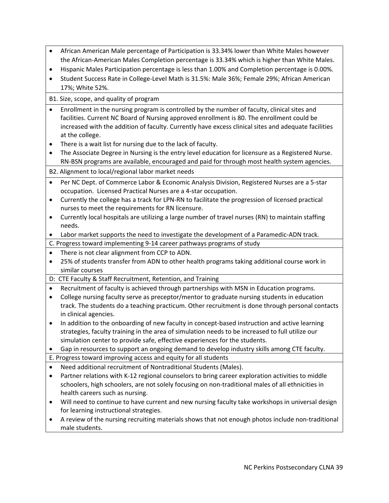- African American Male percentage of Participation is 33.34% lower than White Males however the African‐American Males Completion percentage is 33.34% which is higher than White Males.
- Hispanic Males Participation percentage is less than 1.00% and Completion percentage is 0.00%.
- Student Success Rate in College-Level Math is 31.5%: Male 36%; Female 29%; African American 17%; White 52%.

B1. Size, scope, and quality of program

- Enrollment in the nursing program is controlled by the number of faculty, clinical sites and facilities. Current NC Board of Nursing approved enrollment is 80. The enrollment could be increased with the addition of faculty. Currently have excess clinical sites and adequate facilities at the college.
- There is a wait list for nursing due to the lack of faculty.
- The Associate Degree in Nursing is the entry level education for licensure as a Registered Nurse. RN‐BSN programs are available, encouraged and paid for through most health system agencies.
- B2. Alignment to local/regional labor market needs
- Per NC Dept. of Commerce Labor & Economic Analysis Division, Registered Nurses are a 5-star occupation. Licensed Practical Nurses are a 4‐star occupation.
- Currently the college has a track for LPN‐RN to facilitate the progression of licensed practical nurses to meet the requirements for RN licensure.
- Currently local hospitals are utilizing a large number of travel nurses (RN) to maintain staffing needs.
- Labor market supports the need to investigate the development of a Paramedic‐ADN track.
- C. Progress toward implementing 9‐14 career pathways programs of study
- There is not clear alignment from CCP to ADN.
- 25% of students transfer from ADN to other health programs taking additional course work in similar courses
- D: CTE Faculty & Staff Recruitment, Retention, and Training
- Recruitment of faculty is achieved through partnerships with MSN in Education programs.
- College nursing faculty serve as preceptor/mentor to graduate nursing students in education track. The students do a teaching practicum. Other recruitment is done through personal contacts in clinical agencies.
- In addition to the onboarding of new faculty in concept-based instruction and active learning strategies, faculty training in the area of simulation needs to be increased to full utilize our simulation center to provide safe, effective experiences for the students.
- Gap in resources to support an ongoing demand to develop industry skills among CTE faculty.

E. Progress toward improving access and equity for all students

- Need additional recruitment of Nontraditional Students (Males).
- Partner relations with K-12 regional counselors to bring career exploration activities to middle schoolers, high schoolers, are not solely focusing on non-traditional males of all ethnicities in health careers such as nursing.
- Will need to continue to have current and new nursing faculty take workshops in universal design for learning instructional strategies.
- A review of the nursing recruiting materials shows that not enough photos include non-traditional male students.